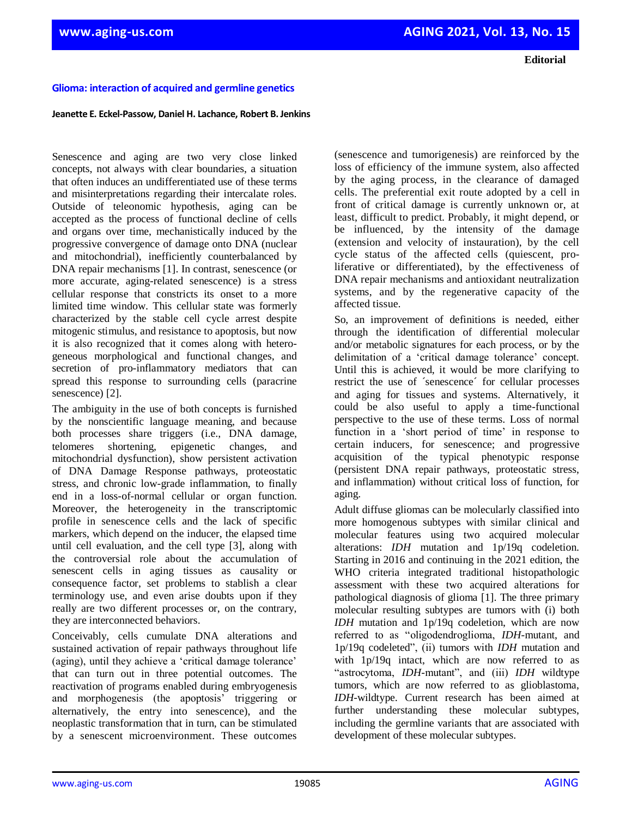**Editorial** 

## **Glioma: interaction of acquired and germline genetics**

## **Jeanette E. Eckel-Passow, Daniel H. Lachance, Robert B. Jenkins**

Senescence and aging are two very close linked concepts, not always with clear boundaries, a situation that often induces an undifferentiated use of these terms and misinterpretations regarding their intercalate roles. Outside of teleonomic hypothesis, aging can be accepted as the process of functional decline of cells and organs over time, mechanistically induced by the progressive convergence of damage onto DNA (nuclear and mitochondrial), inefficiently counterbalanced by DNA repair mechanisms [1]. In contrast, senescence (or more accurate, aging-related senescence) is a stress cellular response that constricts its onset to a more limited time window. This cellular state was formerly characterized by the stable cell cycle arrest despite mitogenic stimulus, and resistance to apoptosis, but now it is also recognized that it comes along with heterogeneous morphological and functional changes, and secretion of pro-inflammatory mediators that can spread this response to surrounding cells (paracrine senescence) [2].

The ambiguity in the use of both concepts is furnished by the nonscientific language meaning, and because both processes share triggers (i.e., DNA damage, telomeres shortening, epigenetic changes, and mitochondrial dysfunction), show persistent activation of DNA Damage Response pathways, proteostatic stress, and chronic low-grade inflammation, to finally end in a loss-of-normal cellular or organ function. Moreover, the heterogeneity in the transcriptomic profile in senescence cells and the lack of specific markers, which depend on the inducer, the elapsed time until cell evaluation, and the cell type [3], along with the controversial role about the accumulation of senescent cells in aging tissues as causality or consequence factor, set problems to stablish a clear terminology use, and even arise doubts upon if they really are two different processes or, on the contrary, they are interconnected behaviors.

Conceivably, cells cumulate DNA alterations and sustained activation of repair pathways throughout life (aging), until they achieve a 'critical damage tolerance' that can turn out in three potential outcomes. The reactivation of programs enabled during embryogenesis and morphogenesis (the apoptosis" triggering or alternatively, the entry into senescence), and the neoplastic transformation that in turn, can be stimulated by a senescent microenvironment. These outcomes

(senescence and tumorigenesis) are reinforced by the loss of efficiency of the immune system, also affected by the aging process, in the clearance of damaged cells. The preferential exit route adopted by a cell in front of critical damage is currently unknown or, at least, difficult to predict. Probably, it might depend, or be influenced, by the intensity of the damage (extension and velocity of instauration), by the cell cycle status of the affected cells (quiescent, proliferative or differentiated), by the effectiveness of DNA repair mechanisms and antioxidant neutralization systems, and by the regenerative capacity of the affected tissue.

So, an improvement of definitions is needed, either through the identification of differential molecular and/or metabolic signatures for each process, or by the delimitation of a 'critical damage tolerance' concept. Until this is achieved, it would be more clarifying to restrict the use of ´senescence´ for cellular processes and aging for tissues and systems. Alternatively, it could be also useful to apply a time-functional perspective to the use of these terms. Loss of normal function in a 'short period of time' in response to certain inducers, for senescence; and progressive acquisition of the typical phenotypic response (persistent DNA repair pathways, proteostatic stress, and inflammation) without critical loss of function, for aging.

Adult diffuse gliomas can be molecularly classified into more homogenous subtypes with similar clinical and molecular features using two acquired molecular alterations: *IDH* mutation and 1p/19q codeletion. Starting in 2016 and continuing in the 2021 edition, the WHO criteria integrated traditional histopathologic assessment with these two acquired alterations for pathological diagnosis of glioma [1]. The three primary molecular resulting subtypes are tumors with (i) both *IDH* mutation and 1p/19q codeletion, which are now referred to as "oligodendroglioma, *IDH*-mutant, and 1p/19q codeleted", (ii) tumors with *IDH* mutation and with 1p/19q intact, which are now referred to as "astrocytoma, *IDH*-mutant", and (iii) *IDH* wildtype tumors, which are now referred to as glioblastoma, *IDH*-wildtype. Current research has been aimed at further understanding these molecular subtypes, including the germline variants that are associated with development of these molecular subtypes.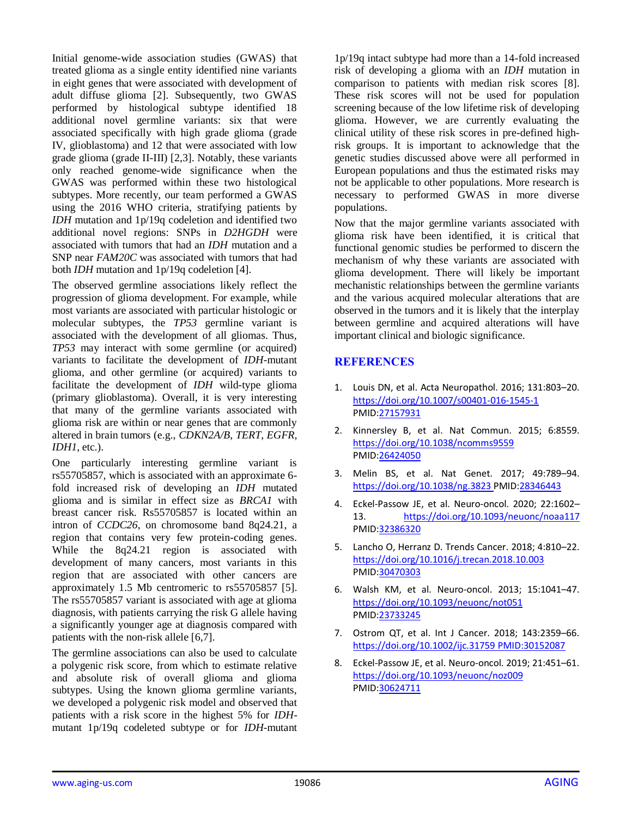Initial genome-wide association studies (GWAS) that treated glioma as a single entity identified nine variants in eight genes that were associated with development of adult diffuse glioma [2]. Subsequently, two GWAS performed by histological subtype identified 18 additional novel germline variants: six that were associated specifically with high grade glioma (grade IV, glioblastoma) and 12 that were associated with low grade glioma (grade II-III) [2,3]. Notably, these variants only reached genome-wide significance when the GWAS was performed within these two histological subtypes. More recently, our team performed a GWAS using the 2016 WHO criteria, stratifying patients by *IDH* mutation and 1p/19q codeletion and identified two additional novel regions: SNPs in *D2HGDH* were associated with tumors that had an *IDH* mutation and a SNP near *FAM20C* was associated with tumors that had both *IDH* mutation and 1p/19q codeletion [4].

The observed germline associations likely reflect the progression of glioma development. For example, while most variants are associated with particular histologic or molecular subtypes, the *TP53* germline variant is associated with the development of all gliomas. Thus, *TP53* may interact with some germline (or acquired) variants to facilitate the development of *IDH*-mutant glioma, and other germline (or acquired) variants to facilitate the development of *IDH* wild-type glioma (primary glioblastoma). Overall, it is very interesting that many of the germline variants associated with glioma risk are within or near genes that are commonly altered in brain tumors (e.g., *CDKN2A/B*, *TERT*, *EGFR*, *IDH1*, etc.).

One particularly interesting germline variant is rs55705857, which is associated with an approximate 6 fold increased risk of developing an *IDH* mutated glioma and is similar in effect size as *BRCA1* with breast cancer risk. Rs55705857 is located within an intron of *CCDC26*, on chromosome band 8q24.21, a region that contains very few protein-coding genes. While the 8q24.21 region is associated with development of many cancers, most variants in this region that are associated with other cancers are approximately 1.5 Mb centromeric to rs55705857 [5]. The rs55705857 variant is associated with age at glioma diagnosis, with patients carrying the risk G allele having a significantly younger age at diagnosis compared with patients with the non-risk allele [6,7].

The germline associations can also be used to calculate a polygenic risk score, from which to estimate relative and absolute risk of overall glioma and glioma subtypes. Using the known glioma germline variants, we developed a polygenic risk model and observed that patients with a risk score in the highest 5% for *IDH*mutant 1p/19q codeleted subtype or for *IDH*-mutant

1p/19q intact subtype had more than a 14-fold increased risk of developing a glioma with an *IDH* mutation in comparison to patients with median risk scores [8]. These risk scores will not be used for population screening because of the low lifetime risk of developing glioma. However, we are currently evaluating the clinical utility of these risk scores in pre-defined highrisk groups. It is important to acknowledge that the genetic studies discussed above were all performed in European populations and thus the estimated risks may not be applicable to other populations. More research is necessary to performed GWAS in more diverse populations.

Now that the major germline variants associated with glioma risk have been identified, it is critical that functional genomic studies be performed to discern the mechanism of why these variants are associated with glioma development. There will likely be important mechanistic relationships between the germline variants and the various acquired molecular alterations that are observed in the tumors and it is likely that the interplay between germline and acquired alterations will have important clinical and biologic significance.

## **REFERENCES**

- 1. Louis DN, et al. Acta Neuropathol. 2016; 131:803–20. <https://doi.org/10.1007/s00401-016-1545-1> [PMID:27157931](https://pubmed.ncbi.nlm.nih.gov/27157931)
- 2. Kinnersley B, et al. Nat Commun. 2015; 6:8559. <https://doi.org/10.1038/ncomms9559> [PMID:26424050](https://pubmed.ncbi.nlm.nih.gov/26424050)
- 3. Melin BS, et al. Nat Genet. 2017; 49:789–94. <https://doi.org/10.1038/ng.3823> [PMID:28346443](https://doi.org/10.1038/ng.3823)
- 4. Eckel-Passow JE, et al. Neuro-oncol. 2020; 22:1602– 13. <https://doi.org/10.1093/neuonc/noaa117> [PMID:32386320](https://pubmed.ncbi.nlm.nih.gov/32386320)
- 5. Lancho O, Herranz D. Trends Cancer. 2018; 4:810–22. <https://doi.org/10.1016/j.trecan.2018.10.003> [PMID:30470303](https://pubmed.ncbi.nlm.nih.gov/30470303)
- 6. Walsh KM, et al. Neuro-oncol. 2013; 15:1041–47. <https://doi.org/10.1093/neuonc/not051> [PMID:23733245](https://pubmed.ncbi.nlm.nih.gov/23733245)
- 7. Ostrom QT, et al. Int J Cancer. 2018; 143:2359–66. <https://doi.org/10.1002/ijc.31759> [PMID:30152087](https://doi.org/10.1002/ijc.31759)
- 8. Eckel-Passow JE, et al. Neuro-oncol. 2019; 21:451–61. <https://doi.org/10.1093/neuonc/noz009> [PMID:30624711](https://pubmed.ncbi.nlm.nih.gov/30624711)